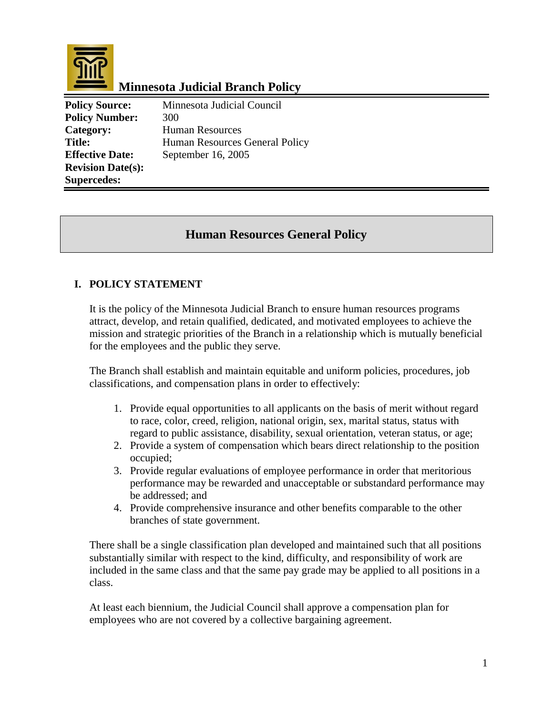

# **Minnesota Judicial Branch Policy**

**Policy Source:** Minnesota Judicial Council **Policy Number:** 300 Category: Human Resources Title: Human Resources General Policy **Effective Date:** September 16, 2005 **Revision Date(s): Supercedes:** 

## **Human Resources General Policy**

#### **I. POLICY STATEMENT**

It is the policy of the Minnesota Judicial Branch to ensure human resources programs attract, develop, and retain qualified, dedicated, and motivated employees to achieve the mission and strategic priorities of the Branch in a relationship which is mutually beneficial for the employees and the public they serve.

The Branch shall establish and maintain equitable and uniform policies, procedures, job classifications, and compensation plans in order to effectively:

- 1. Provide equal opportunities to all applicants on the basis of merit without regard to race, color, creed, religion, national origin, sex, marital status, status with regard to public assistance, disability, sexual orientation, veteran status, or age;
- 2. Provide a system of compensation which bears direct relationship to the position occupied;
- 3. Provide regular evaluations of employee performance in order that meritorious performance may be rewarded and unacceptable or substandard performance may be addressed; and
- 4. Provide comprehensive insurance and other benefits comparable to the other branches of state government.

There shall be a single classification plan developed and maintained such that all positions substantially similar with respect to the kind, difficulty, and responsibility of work are included in the same class and that the same pay grade may be applied to all positions in a class.

At least each biennium, the Judicial Council shall approve a compensation plan for employees who are not covered by a collective bargaining agreement.